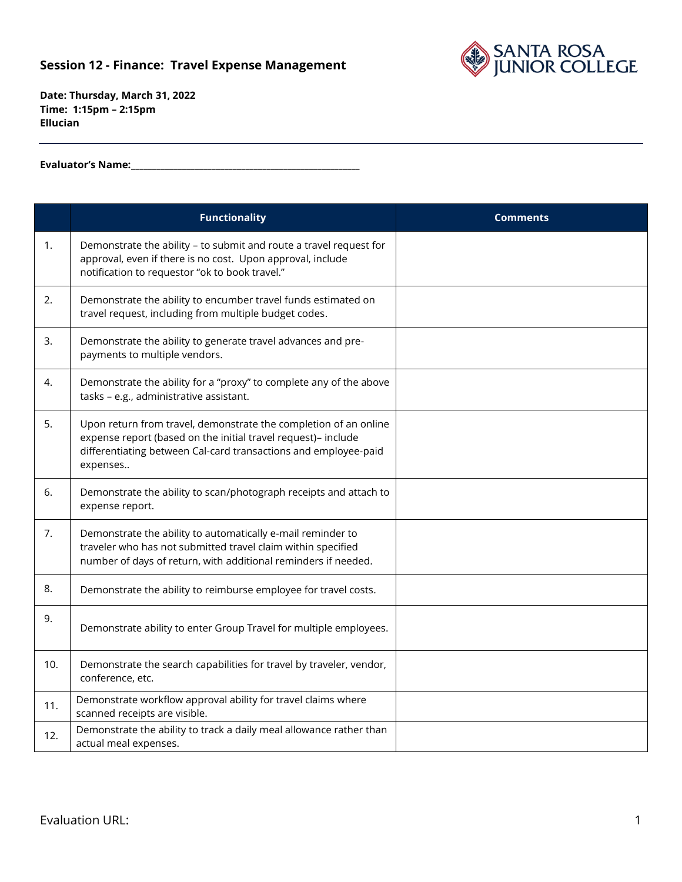## **Session 12 - Finance: Travel Expense Management**



**Date: Thursday, March 31, 2022 Time: 1:15pm – 2:15pm Ellucian**

**Evaluator's Name:\_\_\_\_\_\_\_\_\_\_\_\_\_\_\_\_\_\_\_\_\_\_\_\_\_\_\_\_\_\_\_\_\_\_\_\_\_\_\_\_\_\_\_\_\_\_\_\_\_\_\_\_\_\_**

|     | <b>Functionality</b>                                                                                                                                                                                             | <b>Comments</b> |
|-----|------------------------------------------------------------------------------------------------------------------------------------------------------------------------------------------------------------------|-----------------|
| 1.  | Demonstrate the ability - to submit and route a travel request for<br>approval, even if there is no cost. Upon approval, include<br>notification to requestor "ok to book travel."                               |                 |
| 2.  | Demonstrate the ability to encumber travel funds estimated on<br>travel request, including from multiple budget codes.                                                                                           |                 |
| 3.  | Demonstrate the ability to generate travel advances and pre-<br>payments to multiple vendors.                                                                                                                    |                 |
| 4.  | Demonstrate the ability for a "proxy" to complete any of the above<br>tasks - e.g., administrative assistant.                                                                                                    |                 |
| 5.  | Upon return from travel, demonstrate the completion of an online<br>expense report (based on the initial travel request)- include<br>differentiating between Cal-card transactions and employee-paid<br>expenses |                 |
| 6.  | Demonstrate the ability to scan/photograph receipts and attach to<br>expense report.                                                                                                                             |                 |
| 7.  | Demonstrate the ability to automatically e-mail reminder to<br>traveler who has not submitted travel claim within specified<br>number of days of return, with additional reminders if needed.                    |                 |
| 8.  | Demonstrate the ability to reimburse employee for travel costs.                                                                                                                                                  |                 |
| 9.  | Demonstrate ability to enter Group Travel for multiple employees.                                                                                                                                                |                 |
| 10. | Demonstrate the search capabilities for travel by traveler, vendor,<br>conference, etc.                                                                                                                          |                 |
| 11. | Demonstrate workflow approval ability for travel claims where<br>scanned receipts are visible.                                                                                                                   |                 |
| 12. | Demonstrate the ability to track a daily meal allowance rather than<br>actual meal expenses.                                                                                                                     |                 |